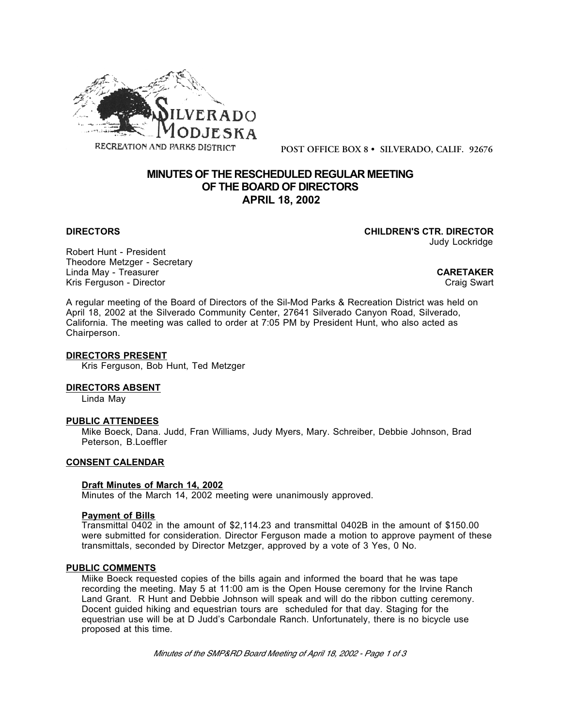

**POST OFFICE BOX 8 • SILVERADO, CALIF. 92676**

# **MINUTES OF THE RESCHEDULED REGULAR MEETING OF THE BOARD OF DIRECTORS APRIL 18, 2002**

**DIRECTORS CHILDREN'S CTR. DIRECTOR** Judy Lockridge

Robert Hunt - President Theodore Metzger - Secretary Linda May - Treasurer **CARETAKER** Kris Ferguson - Director

A regular meeting of the Board of Directors of the Sil-Mod Parks & Recreation District was held on April 18, 2002 at the Silverado Community Center, 27641 Silverado Canyon Road, Silverado, California. The meeting was called to order at 7:05 PM by President Hunt, who also acted as Chairperson.

#### **DIRECTORS PRESENT**

Kris Ferguson, Bob Hunt, Ted Metzger

### **DIRECTORS ABSENT**

Linda May

# **PUBLIC ATTENDEES**

Mike Boeck, Dana. Judd, Fran Williams, Judy Myers, Mary. Schreiber, Debbie Johnson, Brad Peterson, B.Loeffler

#### **CONSENT CALENDAR**

## **Draft Minutes of March 14, 2002**

Minutes of the March 14, 2002 meeting were unanimously approved.

#### **Payment of Bills**

Transmittal 0402 in the amount of \$2,114.23 and transmittal 0402B in the amount of \$150.00 were submitted for consideration. Director Ferguson made a motion to approve payment of these transmittals, seconded by Director Metzger, approved by a vote of 3 Yes, 0 No.

#### **PUBLIC COMMENTS**

Miike Boeck requested copies of the bills again and informed the board that he was tape recording the meeting. May 5 at 11:00 am is the Open House ceremony for the Irvine Ranch Land Grant. R Hunt and Debbie Johnson will speak and will do the ribbon cutting ceremony. Docent guided hiking and equestrian tours are scheduled for that day. Staging for the equestrian use will be at D Judd's Carbondale Ranch. Unfortunately, there is no bicycle use proposed at this time.

*Minutes of the SMP&RD Board Meeting of April 18, 2002 - Page 1 of 3*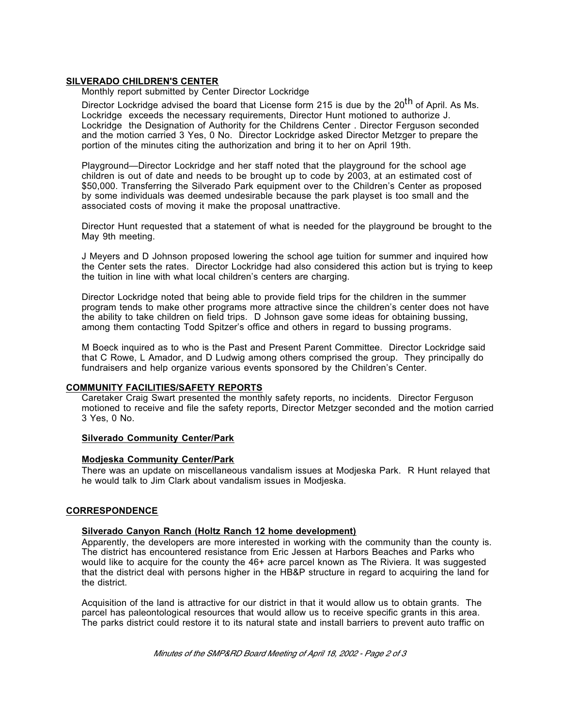#### **SILVERADO CHILDREN'S CENTER**

Monthly report submitted by Center Director Lockridge

Director Lockridge advised the board that License form 215 is due by the 20<sup>th</sup> of April. As Ms. Lockridge exceeds the necessary requirements, Director Hunt motioned to authorize J. Lockridge the Designation of Authority for the Childrens Center . Director Ferguson seconded and the motion carried 3 Yes, 0 No. Director Lockridge asked Director Metzger to prepare the portion of the minutes citing the authorization and bring it to her on April 19th.

Playground—Director Lockridge and her staff noted that the playground for the school age children is out of date and needs to be brought up to code by 2003, at an estimated cost of \$50,000. Transferring the Silverado Park equipment over to the Children's Center as proposed by some individuals was deemed undesirable because the park playset is too small and the associated costs of moving it make the proposal unattractive.

Director Hunt requested that a statement of what is needed for the playground be brought to the May 9th meeting.

J Meyers and D Johnson proposed lowering the school age tuition for summer and inquired how the Center sets the rates. Director Lockridge had also considered this action but is trying to keep the tuition in line with what local children's centers are charging.

Director Lockridge noted that being able to provide field trips for the children in the summer program tends to make other programs more attractive since the children's center does not have the ability to take children on field trips. D Johnson gave some ideas for obtaining bussing, among them contacting Todd Spitzer's office and others in regard to bussing programs.

M Boeck inquired as to who is the Past and Present Parent Committee. Director Lockridge said that C Rowe, L Amador, and D Ludwig among others comprised the group. They principally do fundraisers and help organize various events sponsored by the Children's Center.

#### **COMMUNITY FACILITIES/SAFETY REPORTS**

Caretaker Craig Swart presented the monthly safety reports, no incidents. Director Ferguson motioned to receive and file the safety reports, Director Metzger seconded and the motion carried 3 Yes, 0 No.

# **Silverado Community Center/Park**

# **Modjeska Community Center/Park**

There was an update on miscellaneous vandalism issues at Modjeska Park. R Hunt relayed that he would talk to Jim Clark about vandalism issues in Modjeska.

# **CORRESPONDENCE**

# **Silverado Canyon Ranch (Holtz Ranch 12 home development)**

Apparently, the developers are more interested in working with the community than the county is. The district has encountered resistance from Eric Jessen at Harbors Beaches and Parks who would like to acquire for the county the 46+ acre parcel known as The Riviera. It was suggested that the district deal with persons higher in the HB&P structure in regard to acquiring the land for the district.

Acquisition of the land is attractive for our district in that it would allow us to obtain grants. The parcel has paleontological resources that would allow us to receive specific grants in this area. The parks district could restore it to its natural state and install barriers to prevent auto traffic on

*Minutes of the SMP&RD Board Meeting of April 18, 2002 - Page 2 of 3*